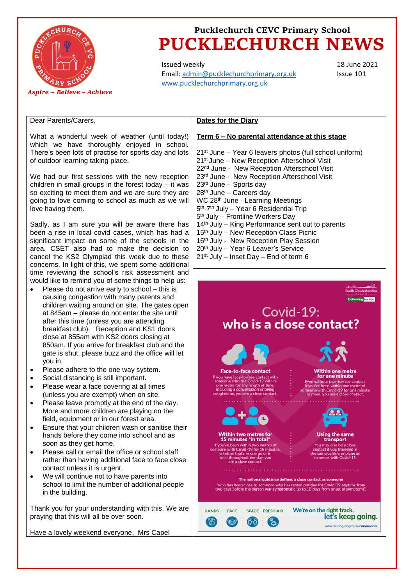

Issued weekly Email: [admin@pucklechurchprimary.org.uk](mailto:admin@pucklechurchprimary.org.uk) [www.pucklechurchprimary.org.uk](http://www.pucklechurchprimary.org.uk/)

18 June 2021 Issue 101

### Dear Parents/Carers,

What a wonderful week of weather (until today!) which we have thoroughly enjoyed in school. There's been lots of practise for sports day and lots of outdoor learning taking place.

We had our first sessions with the new reception children in small groups in the forest today – it was so exciting to meet them and we are sure they are going to love coming to school as much as we will love having them.

Sadly, as I am sure you will be aware there has been a rise in local covid cases, which has had a significant impact on some of the schools in the area. CSET also had to make the decision to cancel the KS2 Olympiad this week due to these concerns. In light of this, we spent some additional time reviewing the school's risk assessment and would like to remind you of some things to help us:

- Please do not arrive early to school this is causing congestion with many parents and children waiting around on site. The gates open at 845am – please do not enter the site until after this time (unless you are attending breakfast club). Reception and KS1 doors close at 855am with KS2 doors closing at 850am. If you arrive for breakfast club and the gate is shut, please buzz and the office will let you in.
- Please adhere to the one way system.
- Social distancing is still important.
- Please wear a face covering at all times (unless you are exempt) when on site.
- Please leave promptly at the end of the day. More and more children are playing on the field, equipment or in our forest area.
- Ensure that your children wash or sanitise their hands before they come into school and as soon as they get home.
- Please call or email the office or school staff rather than having additional face to face close contact unless it is urgent.
- We will continue not to have parents into school to limit the number of additional people in the building.

Thank you for your understanding with this. We are praying that this will all be over soon.

Have a lovely weekend everyone, Mrs Capel

### **Dates for the Diary**

### **Term 6 – No parental attendance at this stage**

21st June – Year 6 leavers photos (full school uniform) 21st June – New Reception Afterschool Visit 22<sup>nd</sup> June - New Reception Afterschool Visit 23rd June - New Reception Afterschool Visit 23rd June – Sports day 28th June – Careers day WC 28<sup>th</sup> June - Learning Meetings 5<sup>th</sup>-7<sup>th</sup> July – Year 6 Residential Trip 5<sup>th</sup> July – Frontline Workers Day 14<sup>th</sup> July – King Performance sent out to parents 15<sup>th</sup> July – New Reception Class Picnic 16<sup>th</sup> July - New Reception Play Session 20th July – Year 6 Leaver's Service  $21^{st}$  July – Inset Day – End of term 6

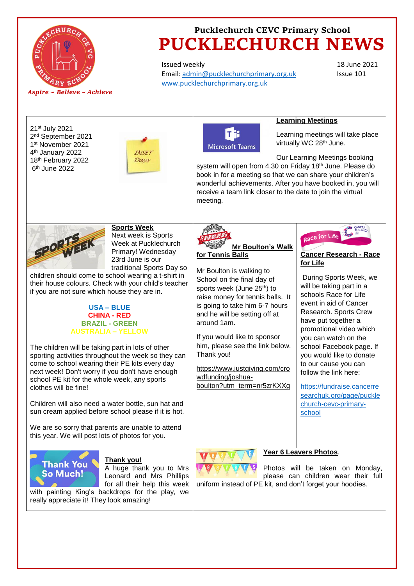

Issued weekly Email: [admin@pucklechurchprimary.org.uk](mailto:admin@pucklechurchprimary.org.uk) [www.pucklechurchprimary.org.uk](http://www.pucklechurchprimary.org.uk/)

18 June 2021 Issue 101

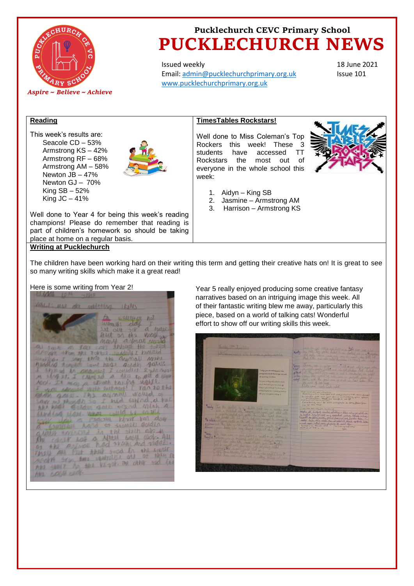

Issued weekly Email: [admin@pucklechurchprimary.org.uk](mailto:admin@pucklechurchprimary.org.uk) [www.pucklechurchprimary.org.uk](http://www.pucklechurchprimary.org.uk/)

18 June 2021 Issue 101

## **Reading**

This week's results are: Seacole CD – 53% Armstrong KS – 42% Armstrong RF – 68% Armstrong AM – 58% Newton  $\overline{JB} - 47\%$ Newton GJ – 70% King  $SB - 52\%$ King  $JC - 41%$ 



**TimesTables Rockstars!**

Well done to Miss Coleman's Top Rockers this week! These 3 students have accessed TT Rockstars the most out of everyone in the whole school this week:



1. Aidyn – King SB

- 2. Jasmine Armstrong AM
- 3. Harrison Armstrong KS

Well done to Year 4 for being this week's reading champions! Please do remember that reading is part of children's homework so should be taking place at home on a regular basis.

### **Writing at Pucklechurch**

The children have been working hard on their writing this term and getting their creative hats on! It is great to see so many writing skills which make it a great read!

#### Here is some writing from Year 2!

| 1.4001<br>1576<br>$-2348$                                                            |
|--------------------------------------------------------------------------------------|
| WALL: use me interested itils                                                        |
|                                                                                      |
| to subject hat                                                                       |
| why the day                                                                          |
| let out for a system<br>least on the West w                                          |
| mary agman would                                                                     |
| as some a face cars through the turest                                               |
| The old show the toking. Indone I keepsed                                            |
| lengther I say that the animal make                                                  |
| Meading homest come have golding gates.<br>I spring in one met I couldn't lives more |
| M 1/19 21. I CAMBO A AKI TO AM A SOME                                                |
| Nov. It may a speath taking ughts.                                                   |
| way again. The against vough of                                                      |
|                                                                                      |
| low us though so I had seperate but<br>Ahr had delder gott ugad Witch a              |
| blind and word what could be so the                                                  |
| organ who a reactive heart has done                                                  |
| A contisting Maria of fromaks golden                                                 |
| a way tryinoud in the week air in                                                    |
| Are could lot a Natal baby clock All                                                 |
| of the assure had wait and vegat.                                                    |
| They are the their seed in the course                                                |
| contri sty, two institute are of them a<br>has your for see veryor me along you join |
|                                                                                      |
| $182 + 004 + 004$                                                                    |

Year 5 really enjoyed producing some creative fantasy narratives based on an intriguing image this week. All of their fantastic writing blew me away, particularly this piece, based on a world of talking cats! Wonderful effort to show off our writing skills this week.